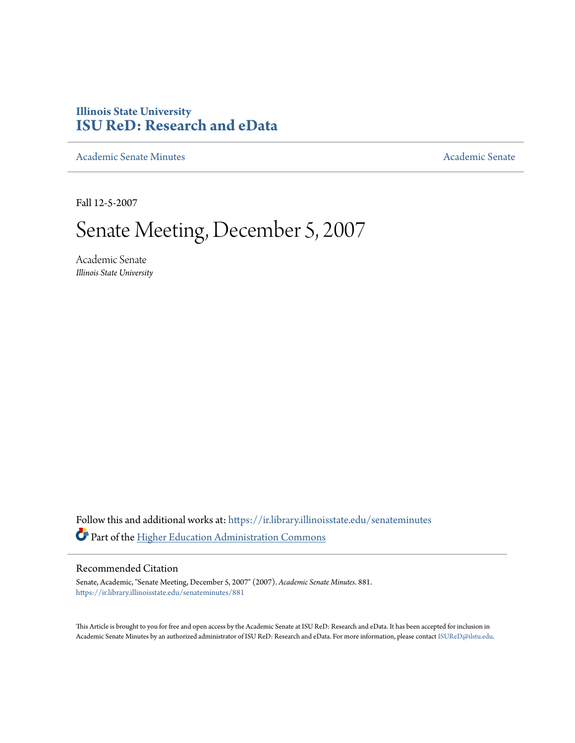# **Illinois State University [ISU ReD: Research and eData](https://ir.library.illinoisstate.edu?utm_source=ir.library.illinoisstate.edu%2Fsenateminutes%2F881&utm_medium=PDF&utm_campaign=PDFCoverPages)**

[Academic Senate Minutes](https://ir.library.illinoisstate.edu/senateminutes?utm_source=ir.library.illinoisstate.edu%2Fsenateminutes%2F881&utm_medium=PDF&utm_campaign=PDFCoverPages) [Academic Senate](https://ir.library.illinoisstate.edu/senate?utm_source=ir.library.illinoisstate.edu%2Fsenateminutes%2F881&utm_medium=PDF&utm_campaign=PDFCoverPages) Academic Senate

Fall 12-5-2007

# Senate Meeting, December 5, 2007

Academic Senate *Illinois State University*

Follow this and additional works at: [https://ir.library.illinoisstate.edu/senateminutes](https://ir.library.illinoisstate.edu/senateminutes?utm_source=ir.library.illinoisstate.edu%2Fsenateminutes%2F881&utm_medium=PDF&utm_campaign=PDFCoverPages) Part of the [Higher Education Administration Commons](http://network.bepress.com/hgg/discipline/791?utm_source=ir.library.illinoisstate.edu%2Fsenateminutes%2F881&utm_medium=PDF&utm_campaign=PDFCoverPages)

#### Recommended Citation

Senate, Academic, "Senate Meeting, December 5, 2007" (2007). *Academic Senate Minutes*. 881. [https://ir.library.illinoisstate.edu/senateminutes/881](https://ir.library.illinoisstate.edu/senateminutes/881?utm_source=ir.library.illinoisstate.edu%2Fsenateminutes%2F881&utm_medium=PDF&utm_campaign=PDFCoverPages)

This Article is brought to you for free and open access by the Academic Senate at ISU ReD: Research and eData. It has been accepted for inclusion in Academic Senate Minutes by an authorized administrator of ISU ReD: Research and eData. For more information, please contact [ISUReD@ilstu.edu.](mailto:ISUReD@ilstu.edu)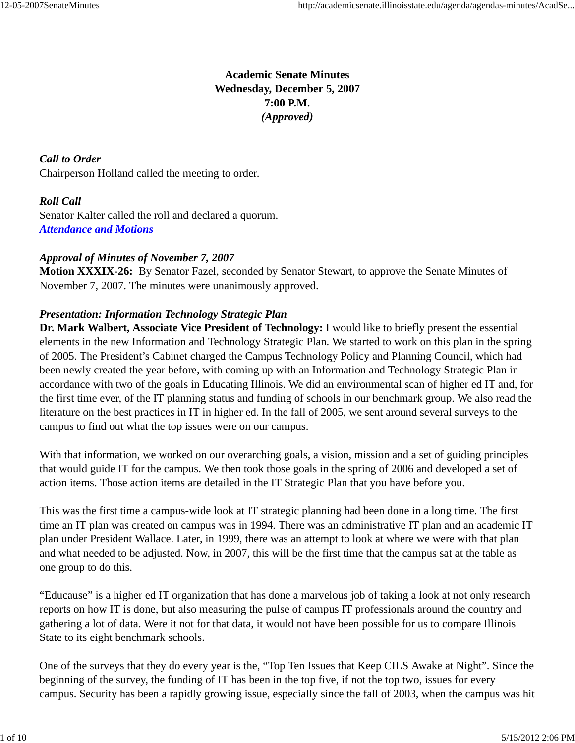# **Academic Senate Minutes Wednesday, December 5, 2007 7:00 P.M.** *(Approved)*

*Call to Order* Chairperson Holland called the meeting to order.

## *Roll Call*

Senator Kalter called the roll and declared a quorum. *Attendance and Motions*

# *Approval of Minutes of November 7, 2007*

**Motion XXXIX-26:** By Senator Fazel, seconded by Senator Stewart, to approve the Senate Minutes of November 7, 2007. The minutes were unanimously approved.

## *Presentation: Information Technology Strategic Plan*

**Dr. Mark Walbert, Associate Vice President of Technology:** I would like to briefly present the essential elements in the new Information and Technology Strategic Plan. We started to work on this plan in the spring of 2005. The President's Cabinet charged the Campus Technology Policy and Planning Council, which had been newly created the year before, with coming up with an Information and Technology Strategic Plan in accordance with two of the goals in Educating Illinois. We did an environmental scan of higher ed IT and, for the first time ever, of the IT planning status and funding of schools in our benchmark group. We also read the literature on the best practices in IT in higher ed. In the fall of 2005, we sent around several surveys to the campus to find out what the top issues were on our campus.

With that information, we worked on our overarching goals, a vision, mission and a set of guiding principles that would guide IT for the campus. We then took those goals in the spring of 2006 and developed a set of action items. Those action items are detailed in the IT Strategic Plan that you have before you.

This was the first time a campus-wide look at IT strategic planning had been done in a long time. The first time an IT plan was created on campus was in 1994. There was an administrative IT plan and an academic IT plan under President Wallace. Later, in 1999, there was an attempt to look at where we were with that plan and what needed to be adjusted. Now, in 2007, this will be the first time that the campus sat at the table as one group to do this.

"Educause" is a higher ed IT organization that has done a marvelous job of taking a look at not only research reports on how IT is done, but also measuring the pulse of campus IT professionals around the country and gathering a lot of data. Were it not for that data, it would not have been possible for us to compare Illinois State to its eight benchmark schools.

One of the surveys that they do every year is the, "Top Ten Issues that Keep CILS Awake at Night". Since the beginning of the survey, the funding of IT has been in the top five, if not the top two, issues for every campus. Security has been a rapidly growing issue, especially since the fall of 2003, when the campus was hit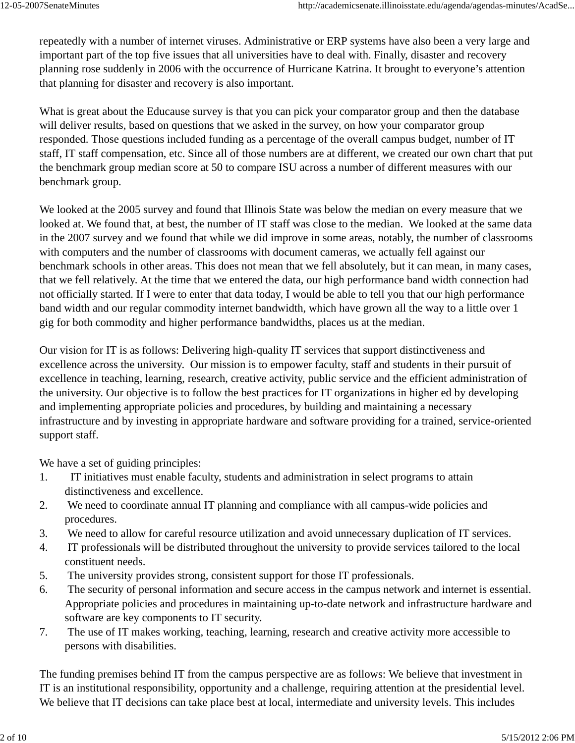repeatedly with a number of internet viruses. Administrative or ERP systems have also been a very large and important part of the top five issues that all universities have to deal with. Finally, disaster and recovery planning rose suddenly in 2006 with the occurrence of Hurricane Katrina. It brought to everyone's attention that planning for disaster and recovery is also important.

What is great about the Educause survey is that you can pick your comparator group and then the database will deliver results, based on questions that we asked in the survey, on how your comparator group responded. Those questions included funding as a percentage of the overall campus budget, number of IT staff, IT staff compensation, etc. Since all of those numbers are at different, we created our own chart that put the benchmark group median score at 50 to compare ISU across a number of different measures with our benchmark group.

We looked at the 2005 survey and found that Illinois State was below the median on every measure that we looked at. We found that, at best, the number of IT staff was close to the median. We looked at the same data in the 2007 survey and we found that while we did improve in some areas, notably, the number of classrooms with computers and the number of classrooms with document cameras, we actually fell against our benchmark schools in other areas. This does not mean that we fell absolutely, but it can mean, in many cases, that we fell relatively. At the time that we entered the data, our high performance band width connection had not officially started. If I were to enter that data today, I would be able to tell you that our high performance band width and our regular commodity internet bandwidth, which have grown all the way to a little over 1 gig for both commodity and higher performance bandwidths, places us at the median.

Our vision for IT is as follows: Delivering high-quality IT services that support distinctiveness and excellence across the university. Our mission is to empower faculty, staff and students in their pursuit of excellence in teaching, learning, research, creative activity, public service and the efficient administration of the university. Our objective is to follow the best practices for IT organizations in higher ed by developing and implementing appropriate policies and procedures, by building and maintaining a necessary infrastructure and by investing in appropriate hardware and software providing for a trained, service-oriented support staff.

We have a set of guiding principles:

- 1. IT initiatives must enable faculty, students and administration in select programs to attain distinctiveness and excellence.
- 2. We need to coordinate annual IT planning and compliance with all campus-wide policies and procedures.
- 3. We need to allow for careful resource utilization and avoid unnecessary duplication of IT services.
- 4. IT professionals will be distributed throughout the university to provide services tailored to the local constituent needs.
- 5. The university provides strong, consistent support for those IT professionals.
- 6. The security of personal information and secure access in the campus network and internet is essential. Appropriate policies and procedures in maintaining up-to-date network and infrastructure hardware and software are key components to IT security.
- 7. The use of IT makes working, teaching, learning, research and creative activity more accessible to persons with disabilities.

The funding premises behind IT from the campus perspective are as follows: We believe that investment in IT is an institutional responsibility, opportunity and a challenge, requiring attention at the presidential level. We believe that IT decisions can take place best at local, intermediate and university levels. This includes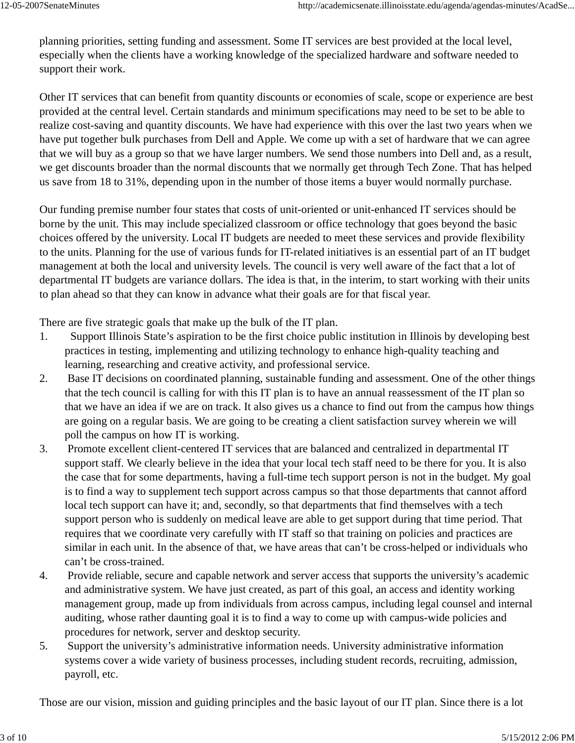planning priorities, setting funding and assessment. Some IT services are best provided at the local level, especially when the clients have a working knowledge of the specialized hardware and software needed to support their work.

Other IT services that can benefit from quantity discounts or economies of scale, scope or experience are best provided at the central level. Certain standards and minimum specifications may need to be set to be able to realize cost-saving and quantity discounts. We have had experience with this over the last two years when we have put together bulk purchases from Dell and Apple. We come up with a set of hardware that we can agree that we will buy as a group so that we have larger numbers. We send those numbers into Dell and, as a result, we get discounts broader than the normal discounts that we normally get through Tech Zone. That has helped us save from 18 to 31%, depending upon in the number of those items a buyer would normally purchase.

Our funding premise number four states that costs of unit-oriented or unit-enhanced IT services should be borne by the unit. This may include specialized classroom or office technology that goes beyond the basic choices offered by the university. Local IT budgets are needed to meet these services and provide flexibility to the units. Planning for the use of various funds for IT-related initiatives is an essential part of an IT budget management at both the local and university levels. The council is very well aware of the fact that a lot of departmental IT budgets are variance dollars. The idea is that, in the interim, to start working with their units to plan ahead so that they can know in advance what their goals are for that fiscal year.

There are five strategic goals that make up the bulk of the IT plan.

- 1. Support Illinois State's aspiration to be the first choice public institution in Illinois by developing best practices in testing, implementing and utilizing technology to enhance high-quality teaching and learning, researching and creative activity, and professional service.
- 2. Base IT decisions on coordinated planning, sustainable funding and assessment. One of the other things that the tech council is calling for with this IT plan is to have an annual reassessment of the IT plan so that we have an idea if we are on track. It also gives us a chance to find out from the campus how things are going on a regular basis. We are going to be creating a client satisfaction survey wherein we will poll the campus on how IT is working.
- 3. Promote excellent client-centered IT services that are balanced and centralized in departmental IT support staff. We clearly believe in the idea that your local tech staff need to be there for you. It is also the case that for some departments, having a full-time tech support person is not in the budget. My goal is to find a way to supplement tech support across campus so that those departments that cannot afford local tech support can have it; and, secondly, so that departments that find themselves with a tech support person who is suddenly on medical leave are able to get support during that time period. That requires that we coordinate very carefully with IT staff so that training on policies and practices are similar in each unit. In the absence of that, we have areas that can't be cross-helped or individuals who can't be cross-trained.
- 4. Provide reliable, secure and capable network and server access that supports the university's academic and administrative system. We have just created, as part of this goal, an access and identity working management group, made up from individuals from across campus, including legal counsel and internal auditing, whose rather daunting goal it is to find a way to come up with campus-wide policies and procedures for network, server and desktop security.
- 5. Support the university's administrative information needs. University administrative information systems cover a wide variety of business processes, including student records, recruiting, admission, payroll, etc.

Those are our vision, mission and guiding principles and the basic layout of our IT plan. Since there is a lot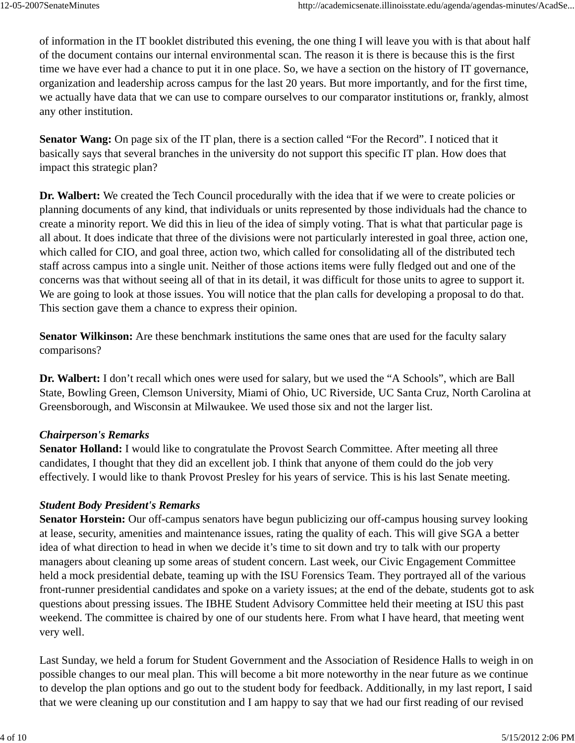of information in the IT booklet distributed this evening, the one thing I will leave you with is that about half of the document contains our internal environmental scan. The reason it is there is because this is the first time we have ever had a chance to put it in one place. So, we have a section on the history of IT governance, organization and leadership across campus for the last 20 years. But more importantly, and for the first time, we actually have data that we can use to compare ourselves to our comparator institutions or, frankly, almost any other institution.

**Senator Wang:** On page six of the IT plan, there is a section called "For the Record". I noticed that it basically says that several branches in the university do not support this specific IT plan. How does that impact this strategic plan?

**Dr. Walbert:** We created the Tech Council procedurally with the idea that if we were to create policies or planning documents of any kind, that individuals or units represented by those individuals had the chance to create a minority report. We did this in lieu of the idea of simply voting. That is what that particular page is all about. It does indicate that three of the divisions were not particularly interested in goal three, action one, which called for CIO, and goal three, action two, which called for consolidating all of the distributed tech staff across campus into a single unit. Neither of those actions items were fully fledged out and one of the concerns was that without seeing all of that in its detail, it was difficult for those units to agree to support it. We are going to look at those issues. You will notice that the plan calls for developing a proposal to do that. This section gave them a chance to express their opinion.

**Senator Wilkinson:** Are these benchmark institutions the same ones that are used for the faculty salary comparisons?

**Dr. Walbert:** I don't recall which ones were used for salary, but we used the "A Schools", which are Ball State, Bowling Green, Clemson University, Miami of Ohio, UC Riverside, UC Santa Cruz, North Carolina at Greensborough, and Wisconsin at Milwaukee. We used those six and not the larger list.

# *Chairperson's Remarks*

**Senator Holland:** I would like to congratulate the Provost Search Committee. After meeting all three candidates, I thought that they did an excellent job. I think that anyone of them could do the job very effectively. I would like to thank Provost Presley for his years of service. This is his last Senate meeting.

# *Student Body President's Remarks*

**Senator Horstein:** Our off-campus senators have begun publicizing our off-campus housing survey looking at lease, security, amenities and maintenance issues, rating the quality of each. This will give SGA a better idea of what direction to head in when we decide it's time to sit down and try to talk with our property managers about cleaning up some areas of student concern. Last week, our Civic Engagement Committee held a mock presidential debate, teaming up with the ISU Forensics Team. They portrayed all of the various front-runner presidential candidates and spoke on a variety issues; at the end of the debate, students got to ask questions about pressing issues. The IBHE Student Advisory Committee held their meeting at ISU this past weekend. The committee is chaired by one of our students here. From what I have heard, that meeting went very well.

Last Sunday, we held a forum for Student Government and the Association of Residence Halls to weigh in on possible changes to our meal plan. This will become a bit more noteworthy in the near future as we continue to develop the plan options and go out to the student body for feedback. Additionally, in my last report, I said that we were cleaning up our constitution and I am happy to say that we had our first reading of our revised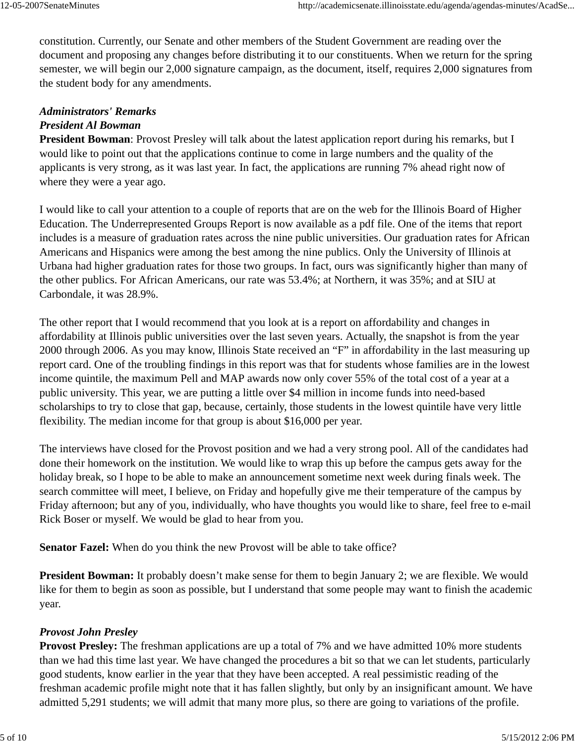constitution. Currently, our Senate and other members of the Student Government are reading over the document and proposing any changes before distributing it to our constituents. When we return for the spring semester, we will begin our 2,000 signature campaign, as the document, itself, requires 2,000 signatures from the student body for any amendments.

# *Administrators' Remarks President Al Bowman*

**President Bowman**: Provost Presley will talk about the latest application report during his remarks, but I would like to point out that the applications continue to come in large numbers and the quality of the applicants is very strong, as it was last year. In fact, the applications are running 7% ahead right now of where they were a year ago.

I would like to call your attention to a couple of reports that are on the web for the Illinois Board of Higher Education. The Underrepresented Groups Report is now available as a pdf file. One of the items that report includes is a measure of graduation rates across the nine public universities. Our graduation rates for African Americans and Hispanics were among the best among the nine publics. Only the University of Illinois at Urbana had higher graduation rates for those two groups. In fact, ours was significantly higher than many of the other publics. For African Americans, our rate was 53.4%; at Northern, it was 35%; and at SIU at Carbondale, it was 28.9%.

The other report that I would recommend that you look at is a report on affordability and changes in affordability at Illinois public universities over the last seven years. Actually, the snapshot is from the year 2000 through 2006. As you may know, Illinois State received an "F" in affordability in the last measuring up report card. One of the troubling findings in this report was that for students whose families are in the lowest income quintile, the maximum Pell and MAP awards now only cover 55% of the total cost of a year at a public university. This year, we are putting a little over \$4 million in income funds into need-based scholarships to try to close that gap, because, certainly, those students in the lowest quintile have very little flexibility. The median income for that group is about \$16,000 per year.

The interviews have closed for the Provost position and we had a very strong pool. All of the candidates had done their homework on the institution. We would like to wrap this up before the campus gets away for the holiday break, so I hope to be able to make an announcement sometime next week during finals week. The search committee will meet, I believe, on Friday and hopefully give me their temperature of the campus by Friday afternoon; but any of you, individually, who have thoughts you would like to share, feel free to e-mail Rick Boser or myself. We would be glad to hear from you.

**Senator Fazel:** When do you think the new Provost will be able to take office?

**President Bowman:** It probably doesn't make sense for them to begin January 2; we are flexible. We would like for them to begin as soon as possible, but I understand that some people may want to finish the academic year.

# *Provost John Presley*

**Provost Presley:** The freshman applications are up a total of 7% and we have admitted 10% more students than we had this time last year. We have changed the procedures a bit so that we can let students, particularly good students, know earlier in the year that they have been accepted. A real pessimistic reading of the freshman academic profile might note that it has fallen slightly, but only by an insignificant amount. We have admitted 5,291 students; we will admit that many more plus, so there are going to variations of the profile.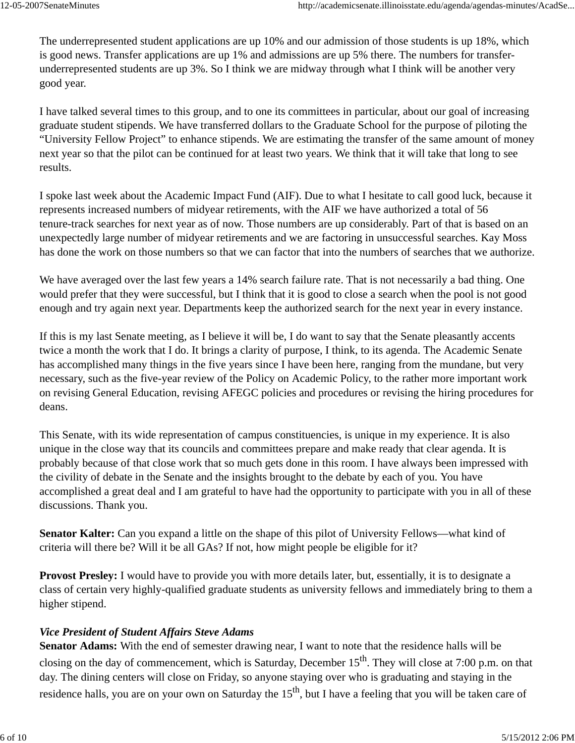The underrepresented student applications are up 10% and our admission of those students is up 18%, which is good news. Transfer applications are up 1% and admissions are up 5% there. The numbers for transferunderrepresented students are up 3%. So I think we are midway through what I think will be another very good year.

I have talked several times to this group, and to one its committees in particular, about our goal of increasing graduate student stipends. We have transferred dollars to the Graduate School for the purpose of piloting the "University Fellow Project" to enhance stipends. We are estimating the transfer of the same amount of money next year so that the pilot can be continued for at least two years. We think that it will take that long to see results.

I spoke last week about the Academic Impact Fund (AIF). Due to what I hesitate to call good luck, because it represents increased numbers of midyear retirements, with the AIF we have authorized a total of 56 tenure-track searches for next year as of now. Those numbers are up considerably. Part of that is based on an unexpectedly large number of midyear retirements and we are factoring in unsuccessful searches. Kay Moss has done the work on those numbers so that we can factor that into the numbers of searches that we authorize.

We have averaged over the last few years a 14% search failure rate. That is not necessarily a bad thing. One would prefer that they were successful, but I think that it is good to close a search when the pool is not good enough and try again next year. Departments keep the authorized search for the next year in every instance.

If this is my last Senate meeting, as I believe it will be, I do want to say that the Senate pleasantly accents twice a month the work that I do. It brings a clarity of purpose, I think, to its agenda. The Academic Senate has accomplished many things in the five years since I have been here, ranging from the mundane, but very necessary, such as the five-year review of the Policy on Academic Policy, to the rather more important work on revising General Education, revising AFEGC policies and procedures or revising the hiring procedures for deans.

This Senate, with its wide representation of campus constituencies, is unique in my experience. It is also unique in the close way that its councils and committees prepare and make ready that clear agenda. It is probably because of that close work that so much gets done in this room. I have always been impressed with the civility of debate in the Senate and the insights brought to the debate by each of you. You have accomplished a great deal and I am grateful to have had the opportunity to participate with you in all of these discussions. Thank you.

**Senator Kalter:** Can you expand a little on the shape of this pilot of University Fellows—what kind of criteria will there be? Will it be all GAs? If not, how might people be eligible for it?

**Provost Presley:** I would have to provide you with more details later, but, essentially, it is to designate a class of certain very highly-qualified graduate students as university fellows and immediately bring to them a higher stipend.

# *Vice President of Student Affairs Steve Adams*

**Senator Adams:** With the end of semester drawing near, I want to note that the residence halls will be closing on the day of commencement, which is Saturday, December 15<sup>th</sup>. They will close at 7:00 p.m. on that day. The dining centers will close on Friday, so anyone staying over who is graduating and staying in the residence halls, you are on your own on Saturday the  $15<sup>th</sup>$ , but I have a feeling that you will be taken care of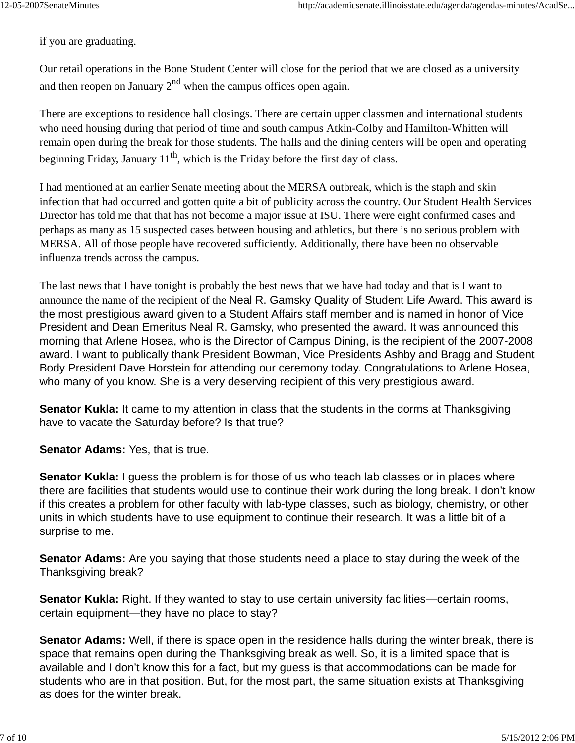if you are graduating.

Our retail operations in the Bone Student Center will close for the period that we are closed as a university and then reopen on January  $2<sup>nd</sup>$  when the campus offices open again.

There are exceptions to residence hall closings. There are certain upper classmen and international students who need housing during that period of time and south campus Atkin-Colby and Hamilton-Whitten will remain open during the break for those students. The halls and the dining centers will be open and operating beginning Friday, January  $11<sup>th</sup>$ , which is the Friday before the first day of class.

I had mentioned at an earlier Senate meeting about the MERSA outbreak, which is the staph and skin infection that had occurred and gotten quite a bit of publicity across the country. Our Student Health Services Director has told me that that has not become a major issue at ISU. There were eight confirmed cases and perhaps as many as 15 suspected cases between housing and athletics, but there is no serious problem with MERSA. All of those people have recovered sufficiently. Additionally, there have been no observable influenza trends across the campus.

The last news that I have tonight is probably the best news that we have had today and that is I want to announce the name of the recipient of the Neal R. Gamsky Quality of Student Life Award. This award is the most prestigious award given to a Student Affairs staff member and is named in honor of Vice President and Dean Emeritus Neal R. Gamsky, who presented the award. It was announced this morning that Arlene Hosea, who is the Director of Campus Dining, is the recipient of the 2007-2008 award. I want to publically thank President Bowman, Vice Presidents Ashby and Bragg and Student Body President Dave Horstein for attending our ceremony today. Congratulations to Arlene Hosea, who many of you know. She is a very deserving recipient of this very prestigious award.

**Senator Kukla:** It came to my attention in class that the students in the dorms at Thanksgiving have to vacate the Saturday before? Is that true?

**Senator Adams:** Yes, that is true.

**Senator Kukla:** I guess the problem is for those of us who teach lab classes or in places where there are facilities that students would use to continue their work during the long break. I don't know if this creates a problem for other faculty with lab-type classes, such as biology, chemistry, or other units in which students have to use equipment to continue their research. It was a little bit of a surprise to me.

**Senator Adams:** Are you saying that those students need a place to stay during the week of the Thanksgiving break?

**Senator Kukla:** Right. If they wanted to stay to use certain university facilities—certain rooms, certain equipment—they have no place to stay?

**Senator Adams:** Well, if there is space open in the residence halls during the winter break, there is space that remains open during the Thanksgiving break as well. So, it is a limited space that is available and I don't know this for a fact, but my guess is that accommodations can be made for students who are in that position. But, for the most part, the same situation exists at Thanksgiving as does for the winter break.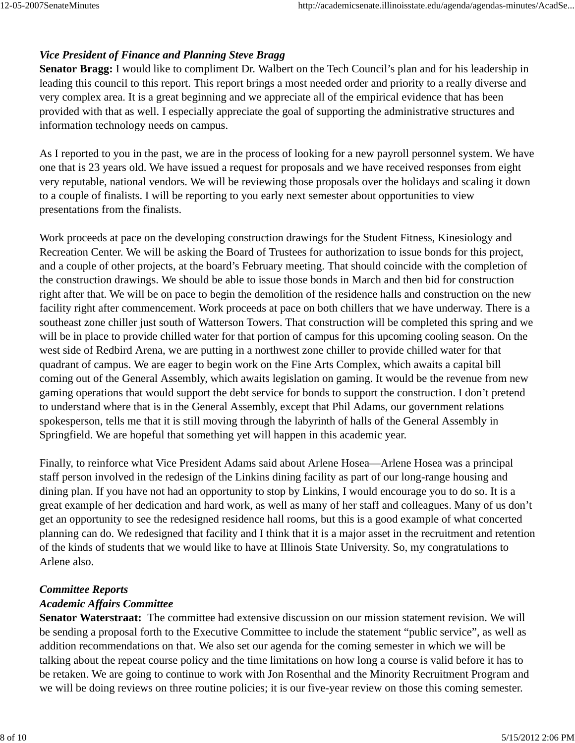# *Vice President of Finance and Planning Steve Bragg*

**Senator Bragg:** I would like to compliment Dr. Walbert on the Tech Council's plan and for his leadership in leading this council to this report. This report brings a most needed order and priority to a really diverse and very complex area. It is a great beginning and we appreciate all of the empirical evidence that has been provided with that as well. I especially appreciate the goal of supporting the administrative structures and information technology needs on campus.

As I reported to you in the past, we are in the process of looking for a new payroll personnel system. We have one that is 23 years old. We have issued a request for proposals and we have received responses from eight very reputable, national vendors. We will be reviewing those proposals over the holidays and scaling it down to a couple of finalists. I will be reporting to you early next semester about opportunities to view presentations from the finalists.

Work proceeds at pace on the developing construction drawings for the Student Fitness, Kinesiology and Recreation Center. We will be asking the Board of Trustees for authorization to issue bonds for this project, and a couple of other projects, at the board's February meeting. That should coincide with the completion of the construction drawings. We should be able to issue those bonds in March and then bid for construction right after that. We will be on pace to begin the demolition of the residence halls and construction on the new facility right after commencement. Work proceeds at pace on both chillers that we have underway. There is a southeast zone chiller just south of Watterson Towers. That construction will be completed this spring and we will be in place to provide chilled water for that portion of campus for this upcoming cooling season. On the west side of Redbird Arena, we are putting in a northwest zone chiller to provide chilled water for that quadrant of campus. We are eager to begin work on the Fine Arts Complex, which awaits a capital bill coming out of the General Assembly, which awaits legislation on gaming. It would be the revenue from new gaming operations that would support the debt service for bonds to support the construction. I don't pretend to understand where that is in the General Assembly, except that Phil Adams, our government relations spokesperson, tells me that it is still moving through the labyrinth of halls of the General Assembly in Springfield. We are hopeful that something yet will happen in this academic year.

Finally, to reinforce what Vice President Adams said about Arlene Hosea—Arlene Hosea was a principal staff person involved in the redesign of the Linkins dining facility as part of our long-range housing and dining plan. If you have not had an opportunity to stop by Linkins, I would encourage you to do so. It is a great example of her dedication and hard work, as well as many of her staff and colleagues. Many of us don't get an opportunity to see the redesigned residence hall rooms, but this is a good example of what concerted planning can do. We redesigned that facility and I think that it is a major asset in the recruitment and retention of the kinds of students that we would like to have at Illinois State University. So, my congratulations to Arlene also.

#### *Committee Reports*

## *Academic Affairs Committee*

**Senator Waterstraat:** The committee had extensive discussion on our mission statement revision. We will be sending a proposal forth to the Executive Committee to include the statement "public service", as well as addition recommendations on that. We also set our agenda for the coming semester in which we will be talking about the repeat course policy and the time limitations on how long a course is valid before it has to be retaken. We are going to continue to work with Jon Rosenthal and the Minority Recruitment Program and we will be doing reviews on three routine policies; it is our five-year review on those this coming semester.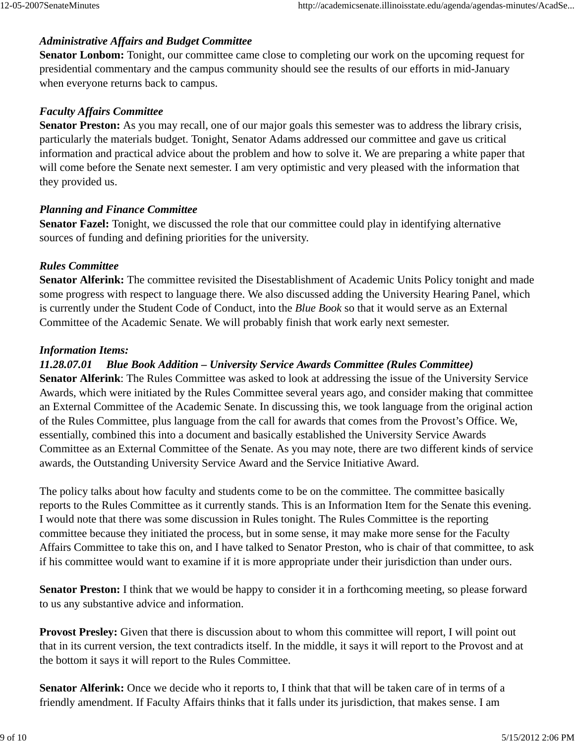# *Administrative Affairs and Budget Committee*

**Senator Lonbom:** Tonight, our committee came close to completing our work on the upcoming request for presidential commentary and the campus community should see the results of our efforts in mid-January when everyone returns back to campus.

# *Faculty Affairs Committee*

**Senator Preston:** As you may recall, one of our major goals this semester was to address the library crisis, particularly the materials budget. Tonight, Senator Adams addressed our committee and gave us critical information and practical advice about the problem and how to solve it. We are preparing a white paper that will come before the Senate next semester. I am very optimistic and very pleased with the information that they provided us.

# *Planning and Finance Committee*

**Senator Fazel:** Tonight, we discussed the role that our committee could play in identifying alternative sources of funding and defining priorities for the university.

# *Rules Committee*

**Senator Alferink:** The committee revisited the Disestablishment of Academic Units Policy tonight and made some progress with respect to language there. We also discussed adding the University Hearing Panel, which is currently under the Student Code of Conduct, into the *Blue Book* so that it would serve as an External Committee of the Academic Senate. We will probably finish that work early next semester.

# *Information Items:*

# *11.28.07.01 Blue Book Addition – University Service Awards Committee (Rules Committee)*

**Senator Alferink**: The Rules Committee was asked to look at addressing the issue of the University Service Awards, which were initiated by the Rules Committee several years ago, and consider making that committee an External Committee of the Academic Senate. In discussing this, we took language from the original action of the Rules Committee, plus language from the call for awards that comes from the Provost's Office. We, essentially, combined this into a document and basically established the University Service Awards Committee as an External Committee of the Senate. As you may note, there are two different kinds of service awards, the Outstanding University Service Award and the Service Initiative Award.

The policy talks about how faculty and students come to be on the committee. The committee basically reports to the Rules Committee as it currently stands. This is an Information Item for the Senate this evening. I would note that there was some discussion in Rules tonight. The Rules Committee is the reporting committee because they initiated the process, but in some sense, it may make more sense for the Faculty Affairs Committee to take this on, and I have talked to Senator Preston, who is chair of that committee, to ask if his committee would want to examine if it is more appropriate under their jurisdiction than under ours.

**Senator Preston:** I think that we would be happy to consider it in a forthcoming meeting, so please forward to us any substantive advice and information.

**Provost Presley:** Given that there is discussion about to whom this committee will report, I will point out that in its current version, the text contradicts itself. In the middle, it says it will report to the Provost and at the bottom it says it will report to the Rules Committee.

**Senator Alferink:** Once we decide who it reports to, I think that that will be taken care of in terms of a friendly amendment. If Faculty Affairs thinks that it falls under its jurisdiction, that makes sense. I am